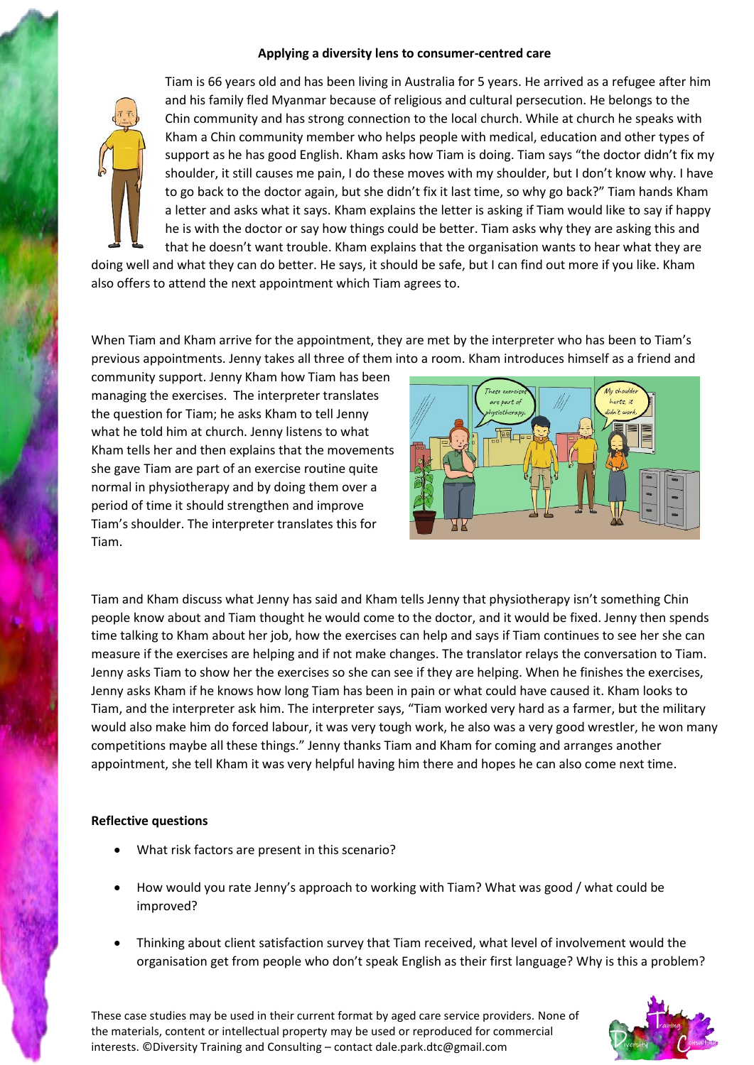## **Applying a diversity lens to consumer-centred care**



Tiam is 66 years old and has been living in Australia for 5 years. He arrived as a refugee after him and his family fled Myanmar because of religious and cultural persecution. He belongs to the Chin community and has strong connection to the local church. While at church he speaks with Kham a Chin community member who helps people with medical, education and other types of support as he has good English. Kham asks how Tiam is doing. Tiam says "the doctor didn't fix my shoulder, it still causes me pain, I do these moves with my shoulder, but I don't know why. I have to go back to the doctor again, but she didn't fix it last time, so why go back?" Tiam hands Kham a letter and asks what it says. Kham explains the letter is asking if Tiam would like to say if happy he is with the doctor or say how things could be better. Tiam asks why they are asking this and that he doesn't want trouble. Kham explains that the organisation wants to hear what they are

doing well and what they can do better. He says, it should be safe, but I can find out more if you like. Kham also offers to attend the next appointment which Tiam agrees to.

When Tiam and Kham arrive for the appointment, they are met by the interpreter who has been to Tiam's previous appointments. Jenny takes all three of them into a room. Kham introduces himself as a friend and

community support. Jenny Kham how Tiam has been managing the exercises. The interpreter translates the question for Tiam; he asks Kham to tell Jenny what he told him at church. Jenny listens to what Kham tells her and then explains that the movements she gave Tiam are part of an exercise routine quite normal in physiotherapy and by doing them over a period of time it should strengthen and improve Tiam's shoulder. The interpreter translates this for Tiam.



Tiam and Kham discuss what Jenny has said and Kham tells Jenny that physiotherapy isn't something Chin people know about and Tiam thought he would come to the doctor, and it would be fixed. Jenny then spends time talking to Kham about her job, how the exercises can help and says if Tiam continues to see her she can measure if the exercises are helping and if not make changes. The translator relays the conversation to Tiam. Jenny asks Tiam to show her the exercises so she can see if they are helping. When he finishes the exercises, Jenny asks Kham if he knows how long Tiam has been in pain or what could have caused it. Kham looks to Tiam, and the interpreter ask him. The interpreter says, "Tiam worked very hard as a farmer, but the military would also make him do forced labour, it was very tough work, he also was a very good wrestler, he won many competitions maybe all these things." Jenny thanks Tiam and Kham for coming and arranges another appointment, she tell Kham it was very helpful having him there and hopes he can also come next time.

## **Reflective questions**

- What risk factors are present in this scenario?
- How would you rate Jenny's approach to working with Tiam? What was good / what could be improved?
- Thinking about client satisfaction survey that Tiam received, what level of involvement would the organisation get from people who don't speak English as their first language? Why is this a problem?

These case studies may be used in their current format by aged care service providers. None of the materials, content or intellectual property may be used or reproduced for commercial interests. ©Diversity Training and Consulting – contact dale.park.dtc@gmail.com